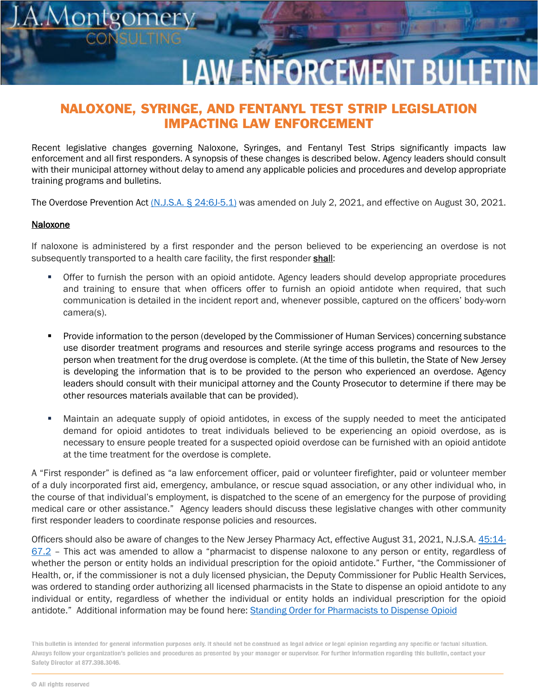## **LAW ENFORCEMENT BULLET**

## NALOXONE, SYRINGE, AND FENTANYL TEST STRIP LEGISLATION IMPACTING LAW ENFORCEMENT

Recent legislative changes governing Naloxone, Syringes, and Fentanyl Test Strips significantly impacts law enforcement and all first responders. A synopsis of these changes is described below. Agency leaders should consult with their municipal attorney without delay to amend any applicable policies and procedures and develop appropriate training programs and bulletins.

The Overdose Prevention Act [\(N.J.S.A. § 24:6J-5.1\)](https://law.justia.com/codes/new-jersey/2021/title-24/section-24-6j-5-1/) was amended on July 2, 2021, and effective on August 30, 2021.

## Naloxone

 $\overline{O}$ 

If naloxone is administered by a first responder and the person believed to be experiencing an overdose is not subsequently transported to a health care facility, the first responder shall:

- Offer to furnish the person with an opioid antidote. Agency leaders should develop appropriate procedures and training to ensure that when officers offer to furnish an opioid antidote when required, that such communication is detailed in the incident report and, whenever possible, captured on the officers' body-worn camera(s).
- **Provide information to the person (developed by the Commissioner of Human Services) concerning substance** use disorder treatment programs and resources and sterile syringe access programs and resources to the person when treatment for the drug overdose is complete. (At the time of this bulletin, the State of New Jersey is developing the information that is to be provided to the person who experienced an overdose. Agency leaders should consult with their municipal attorney and the County Prosecutor to determine if there may be other resources materials available that can be provided).
- Maintain an adequate supply of opioid antidotes, in excess of the supply needed to meet the anticipated demand for opioid antidotes to treat individuals believed to be experiencing an opioid overdose, as is necessary to ensure people treated for a suspected opioid overdose can be furnished with an opioid antidote at the time treatment for the overdose is complete.

A "First responder" is defined as "a law enforcement officer, paid or volunteer firefighter, paid or volunteer member of a duly incorporated first aid, emergency, ambulance, or rescue squad association, or any other individual who, in the course of that individual's employment, is dispatched to the scene of an emergency for the purpose of providing medical care or other assistance." Agency leaders should discuss these legislative changes with other community first responder leaders to coordinate response policies and resources.

Officers should also be aware of changes to the New Jersey Pharmacy Act, effective August 31, 2021, N.J.S.A[. 45:14-](https://casetext.com/statute/new-jersey-statutes/title-45-professions-and-occupations/chapter-4514/section-4514-672-dispensing-of-opioid-antidotes-by-pharmacist-definitions) [67.2](https://casetext.com/statute/new-jersey-statutes/title-45-professions-and-occupations/chapter-4514/section-4514-672-dispensing-of-opioid-antidotes-by-pharmacist-definitions) - This act was amended to allow a "pharmacist to dispense naloxone to any person or entity, regardless of whether the person or entity holds an individual prescription for the opioid antidote." Further, "the Commissioner of Health, or, if the commissioner is not a duly licensed physician, the Deputy Commissioner for Public Health Services, was ordered to standing order authorizing all licensed pharmacists in the State to dispense an opioid antidote to any individual or entity, regardless of whether the individual or entity holds an individual prescription for the opioid antidote." Additional information may be found here: Standing [Order for Pharmacists to Dispense Opioid](https://www.nj.gov/governor/news/news/562021/docs/DOHSO202101.pdf)

This bulletin is intended for general information purposes only. It should not be construed as legal advice or legal opinion regarding any specific or factual situation. Always follow your organization's policies and procedures as presented by your manager or supervisor. For further information regarding this bulletin, contact your Safety Director at 877.398.3046.